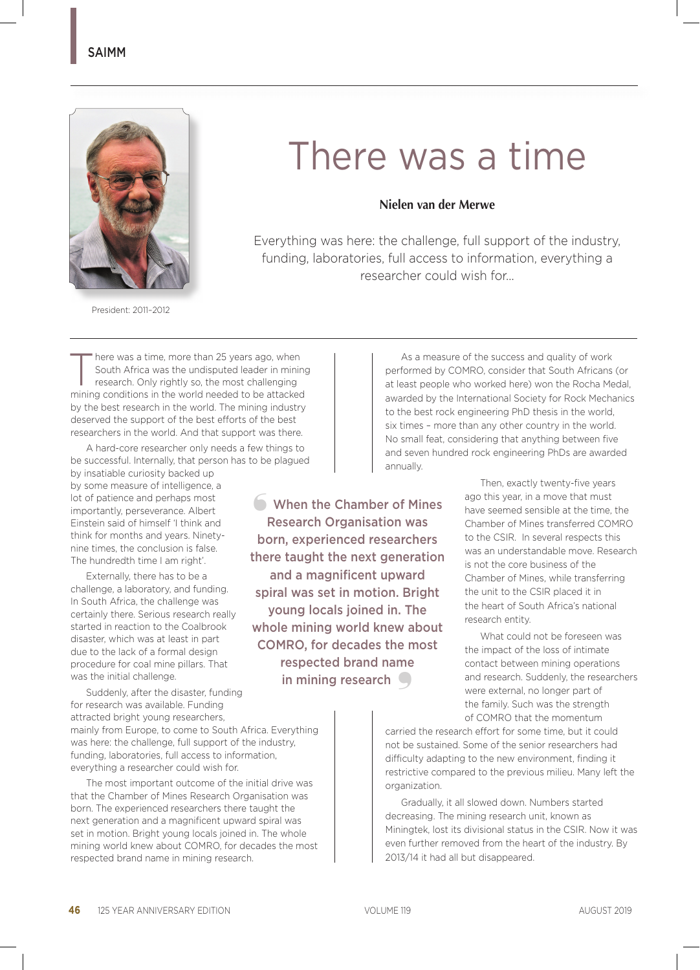

## There was a time

## **Nielen van der Merwe**

Everything was here: the challenge, full support of the industry, funding, laboratories, full access to information, everything a researcher could wish for...

President: 2011–2012

There was a time, more than 25 years ago, when<br>
South Africa was the undisputed leader in minir<br>
research. Only rightly so, the most challenging<br>
research: Only rightly so, the most challenging South Africa was the undisputed leader in mining mining conditions in the world needed to be attacked by the best research in the world. The mining industry deserved the support of the best efforts of the best researchers in the world. And that support was there.

A hard-core researcher only needs a few things to be successful. Internally, that person has to be plagued by insatiable curiosity backed up by some measure of intelligence, a lot of patience and perhaps most importantly, perseverance. Albert Einstein said of himself 'I think and think for months and years. Ninetynine times, the conclusion is false. ❛ When the Chamber of Mines

The hundredth time I am right'. Externally, there has to be a challenge, a laboratory, and funding. In South Africa, the challenge was certainly there. Serious research really started in reaction to the Coalbrook disaster, which was at least in part due to the lack of a formal design procedure for coal mine pillars. That was the initial challenge.

Suddenly, after the disaster, funding for research was available. Funding attracted bright young researchers, mainly from Europe, to come to South Africa. Everything was here: the challenge, full support of the industry, funding, laboratories, full access to information, everything a researcher could wish for.

The most important outcome of the initial drive was that the Chamber of Mines Research Organisation was born. The experienced researchers there taught the next generation and a magnificent upward spiral was set in motion. Bright young locals joined in. The whole mining world knew about COMRO, for decades the most respected brand name in mining research.

As a measure of the success and quality of work performed by COMRO, consider that South Africans (or at least people who worked here) won the Rocha Medal, awarded by the International Society for Rock Mechanics to the best rock engineering PhD thesis in the world, six times – more than any other country in the world. No small feat, considering that anything between five and seven hundred rock engineering PhDs are awarded annually.

> Then, exactly twenty-five years ago this year, in a move that must have seemed sensible at the time, the Chamber of Mines transferred COMRO to the CSIR. In several respects this was an understandable move. Research is not the core business of the Chamber of Mines, while transferring the unit to the CSIR placed it in the heart of South Africa's national research entity.

> What could not be foreseen was the impact of the loss of intimate contact between mining operations and research. Suddenly, the researchers were external, no longer part of the family. Such was the strength of COMRO that the momentum

carried the research effort for some time, but it could not be sustained. Some of the senior researchers had difficulty adapting to the new environment, finding it restrictive compared to the previous milieu. Many left the organization.

Gradually, it all slowed down. Numbers started decreasing. The mining research unit, known as Miningtek, lost its divisional status in the CSIR. Now it was even further removed from the heart of the industry. By 2013/14 it had all but disappeared.

Research Organisation was born, experienced researchers there taught the next generation and a magnificent upward spiral was set in motion. Bright young locals joined in. The whole mining world knew about COMRO, for decades the most respected brand name in mining research  $\Box$